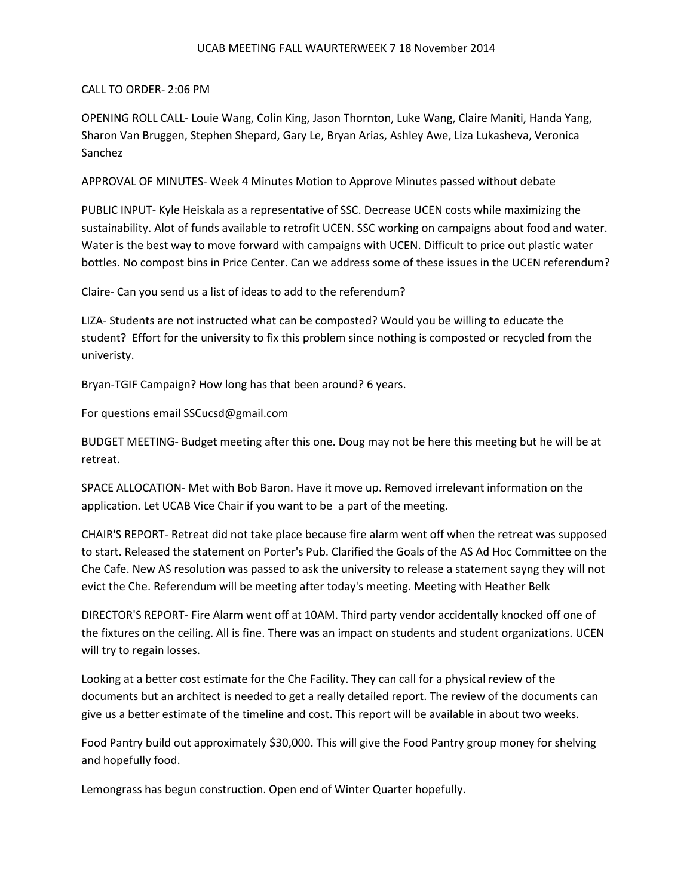## UCAB MEETING FALL WAURTERWEEK 7 18 November 2014

## CALL TO ORDER- 2:06 PM

OPENING ROLL CALL- Louie Wang, Colin King, Jason Thornton, Luke Wang, Claire Maniti, Handa Yang, Sharon Van Bruggen, Stephen Shepard, Gary Le, Bryan Arias, Ashley Awe, Liza Lukasheva, Veronica Sanchez

APPROVAL OF MINUTES- Week 4 Minutes Motion to Approve Minutes passed without debate

PUBLIC INPUT- Kyle Heiskala as a representative of SSC. Decrease UCEN costs while maximizing the sustainability. Alot of funds available to retrofit UCEN. SSC working on campaigns about food and water. Water is the best way to move forward with campaigns with UCEN. Difficult to price out plastic water bottles. No compost bins in Price Center. Can we address some of these issues in the UCEN referendum?

Claire- Can you send us a list of ideas to add to the referendum?

LIZA- Students are not instructed what can be composted? Would you be willing to educate the student? Effort for the university to fix this problem since nothing is composted or recycled from the univeristy.

Bryan-TGIF Campaign? How long has that been around? 6 years.

For questions email SSCucsd@gmail.com

BUDGET MEETING- Budget meeting after this one. Doug may not be here this meeting but he will be at retreat.

SPACE ALLOCATION- Met with Bob Baron. Have it move up. Removed irrelevant information on the application. Let UCAB Vice Chair if you want to be a part of the meeting.

CHAIR'S REPORT- Retreat did not take place because fire alarm went off when the retreat was supposed to start. Released the statement on Porter's Pub. Clarified the Goals of the AS Ad Hoc Committee on the Che Cafe. New AS resolution was passed to ask the university to release a statement sayng they will not evict the Che. Referendum will be meeting after today's meeting. Meeting with Heather Belk

DIRECTOR'S REPORT- Fire Alarm went off at 10AM. Third party vendor accidentally knocked off one of the fixtures on the ceiling. All is fine. There was an impact on students and student organizations. UCEN will try to regain losses.

Looking at a better cost estimate for the Che Facility. They can call for a physical review of the documents but an architect is needed to get a really detailed report. The review of the documents can give us a better estimate of the timeline and cost. This report will be available in about two weeks.

Food Pantry build out approximately \$30,000. This will give the Food Pantry group money for shelving and hopefully food.

Lemongrass has begun construction. Open end of Winter Quarter hopefully.